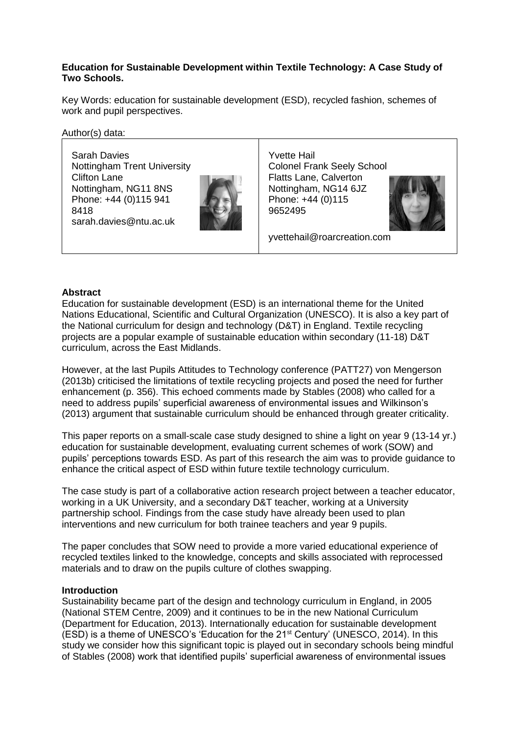# **Education for Sustainable Development within Textile Technology: A Case Study of Two Schools.**

Key Words: education for sustainable development (ESD), recycled fashion, schemes of work and pupil perspectives.

Author(s) data:

Sarah Davies Nottingham Trent University Clifton Lane Nottingham, NG11 8NS Phone: +44 (0)115 941 8418 sarah.davies@ntu.ac.uk



Yvette Hail Colonel Frank Seely School Flatts Lane, Calverton Nottingham, NG14 6JZ Phone: +44 (0)115 9652495



yvettehail@roarcreation.com

# **Abstract**

Education for sustainable development (ESD) is an international theme for the United Nations Educational, Scientific and Cultural Organization (UNESCO). It is also a key part of the National curriculum for design and technology (D&T) in England. Textile recycling projects are a popular example of sustainable education within secondary (11-18) D&T curriculum, across the East Midlands.

However, at the last Pupils Attitudes to Technology conference (PATT27) von Mengerson (2013b) criticised the limitations of textile recycling projects and posed the need for further enhancement (p. 356). This echoed comments made by Stables (2008) who called for a need to address pupils' superficial awareness of environmental issues and Wilkinson's (2013) argument that sustainable curriculum should be enhanced through greater criticality.

This paper reports on a small-scale case study designed to shine a light on year 9 (13-14 yr.) education for sustainable development, evaluating current schemes of work (SOW) and pupils' perceptions towards ESD. As part of this research the aim was to provide guidance to enhance the critical aspect of ESD within future textile technology curriculum.

The case study is part of a collaborative action research project between a teacher educator, working in a UK University, and a secondary D&T teacher, working at a University partnership school. Findings from the case study have already been used to plan interventions and new curriculum for both trainee teachers and year 9 pupils.

The paper concludes that SOW need to provide a more varied educational experience of recycled textiles linked to the knowledge, concepts and skills associated with reprocessed materials and to draw on the pupils culture of clothes swapping.

# **Introduction**

Sustainability became part of the design and technology curriculum in England, in 2005 (National STEM Centre, 2009) and it continues to be in the new National Curriculum (Department for Education, 2013). Internationally education for sustainable development (ESD) is a theme of UNESCO's 'Education for the 21<sup>st</sup> Century' (UNESCO, 2014). In this study we consider how this significant topic is played out in secondary schools being mindful of Stables (2008) work that identified pupils' superficial awareness of environmental issues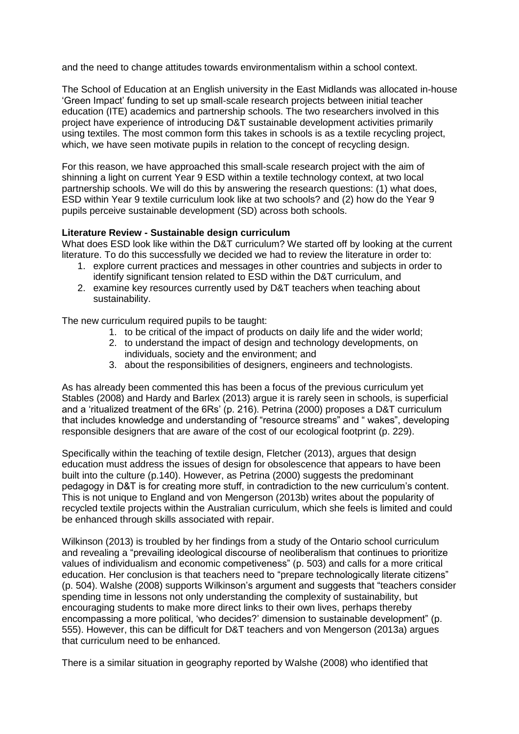and the need to change attitudes towards environmentalism within a school context.

The School of Education at an English university in the East Midlands was allocated in-house 'Green Impact' funding to set up small-scale research projects between initial teacher education (ITE) academics and partnership schools. The two researchers involved in this project have experience of introducing D&T sustainable development activities primarily using textiles. The most common form this takes in schools is as a textile recycling project, which, we have seen motivate pupils in relation to the concept of recycling design.

For this reason, we have approached this small-scale research project with the aim of shinning a light on current Year 9 ESD within a textile technology context, at two local partnership schools. We will do this by answering the research questions: (1) what does, ESD within Year 9 textile curriculum look like at two schools? and (2) how do the Year 9 pupils perceive sustainable development (SD) across both schools.

### **Literature Review - Sustainable design curriculum**

What does ESD look like within the D&T curriculum? We started off by looking at the current literature. To do this successfully we decided we had to review the literature in order to:

- 1. explore current practices and messages in other countries and subjects in order to identify significant tension related to ESD within the D&T curriculum, and
- 2. examine key resources currently used by D&T teachers when teaching about sustainability.

The new curriculum required pupils to be taught:

- 1. to be critical of the impact of products on daily life and the wider world;
- 2. to understand the impact of design and technology developments, on individuals, society and the environment; and
- 3. about the responsibilities of designers, engineers and technologists.

As has already been commented this has been a focus of the previous curriculum yet Stables (2008) and Hardy and Barlex (2013) argue it is rarely seen in schools, is superficial and a 'ritualized treatment of the 6Rs' (p. 216). Petrina (2000) proposes a D&T curriculum that includes knowledge and understanding of "resource streams" and " wakes", developing responsible designers that are aware of the cost of our ecological footprint (p. 229).

Specifically within the teaching of textile design, Fletcher (2013), argues that design education must address the issues of design for obsolescence that appears to have been built into the culture (p.140). However, as Petrina (2000) suggests the predominant pedagogy in D&T is for creating more stuff, in contradiction to the new curriculum's content. This is not unique to England and von Mengerson (2013b) writes about the popularity of recycled textile projects within the Australian curriculum, which she feels is limited and could be enhanced through skills associated with repair.

Wilkinson (2013) is troubled by her findings from a study of the Ontario school curriculum and revealing a "prevailing ideological discourse of neoliberalism that continues to prioritize values of individualism and economic competiveness" (p. 503) and calls for a more critical education. Her conclusion is that teachers need to "prepare technologically literate citizens" (p. 504). Walshe (2008) supports Wilkinson's argument and suggests that "teachers consider spending time in lessons not only understanding the complexity of sustainability, but encouraging students to make more direct links to their own lives, perhaps thereby encompassing a more political, 'who decides?' dimension to sustainable development" (p. 555). However, this can be difficult for D&T teachers and von Mengerson (2013a) argues that curriculum need to be enhanced.

There is a similar situation in geography reported by Walshe (2008) who identified that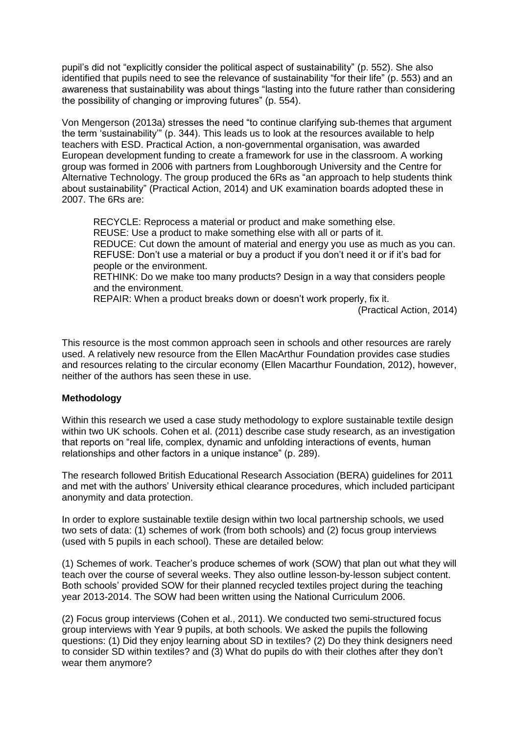pupil's did not "explicitly consider the political aspect of sustainability" (p. 552). She also identified that pupils need to see the relevance of sustainability "for their life" (p. 553) and an awareness that sustainability was about things "lasting into the future rather than considering the possibility of changing or improving futures" (p. 554).

Von Mengerson (2013a) stresses the need "to continue clarifying sub-themes that argument the term 'sustainability'" (p. 344). This leads us to look at the resources available to help teachers with ESD. Practical Action, a non-governmental organisation, was awarded European development funding to create a framework for use in the classroom. A working group was formed in 2006 with partners from Loughborough University and the Centre for Alternative Technology. The group produced the 6Rs as "an approach to help students think about sustainability" (Practical Action, 2014) and UK examination boards adopted these in 2007. The 6Rs are:

RECYCLE: Reprocess a material or product and make something else. REUSE: Use a product to make something else with all or parts of it. REDUCE: Cut down the amount of material and energy you use as much as you can. REFUSE: Don't use a material or buy a product if you don't need it or if it's bad for people or the environment. RETHINK: Do we make too many products? Design in a way that considers people

and the environment.

REPAIR: When a product breaks down or doesn't work properly, fix it.

(Practical Action, 2014)

This resource is the most common approach seen in schools and other resources are rarely used. A relatively new resource from the Ellen MacArthur Foundation provides case studies and resources relating to the circular economy (Ellen Macarthur Foundation, 2012), however, neither of the authors has seen these in use.

# **Methodology**

Within this research we used a case study methodology to explore sustainable textile design within two UK schools. Cohen et al. (2011) describe case study research, as an investigation that reports on "real life, complex, dynamic and unfolding interactions of events, human relationships and other factors in a unique instance" (p. 289).

The research followed British Educational Research Association (BERA) guidelines for 2011 and met with the authors' University ethical clearance procedures, which included participant anonymity and data protection.

In order to explore sustainable textile design within two local partnership schools, we used two sets of data: (1) schemes of work (from both schools) and (2) focus group interviews (used with 5 pupils in each school). These are detailed below:

(1) Schemes of work. Teacher's produce schemes of work (SOW) that plan out what they will teach over the course of several weeks. They also outline lesson-by-lesson subject content. Both schools' provided SOW for their planned recycled textiles project during the teaching year 2013-2014. The SOW had been written using the National Curriculum 2006.

(2) Focus group interviews (Cohen et al., 2011). We conducted two semi-structured focus group interviews with Year 9 pupils, at both schools. We asked the pupils the following questions: (1) Did they enjoy learning about SD in textiles? (2) Do they think designers need to consider SD within textiles? and (3) What do pupils do with their clothes after they don't wear them anymore?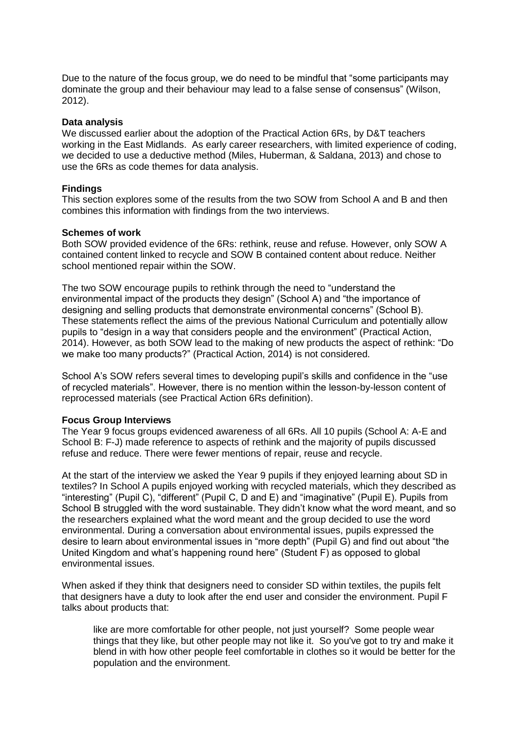Due to the nature of the focus group, we do need to be mindful that "some participants may dominate the group and their behaviour may lead to a false sense of consensus" (Wilson, 2012).

### **Data analysis**

We discussed earlier about the adoption of the Practical Action 6Rs, by D&T teachers working in the East Midlands. As early career researchers, with limited experience of coding, we decided to use a deductive method (Miles, Huberman, & Saldana, 2013) and chose to use the 6Rs as code themes for data analysis.

### **Findings**

This section explores some of the results from the two SOW from School A and B and then combines this information with findings from the two interviews.

#### **Schemes of work**

Both SOW provided evidence of the 6Rs: rethink, reuse and refuse. However, only SOW A contained content linked to recycle and SOW B contained content about reduce. Neither school mentioned repair within the SOW.

The two SOW encourage pupils to rethink through the need to "understand the environmental impact of the products they design" (School A) and "the importance of designing and selling products that demonstrate environmental concerns" (School B). These statements reflect the aims of the previous National Curriculum and potentially allow pupils to "design in a way that considers people and the environment" (Practical Action, 2014). However, as both SOW lead to the making of new products the aspect of rethink: "Do we make too many products?" (Practical Action, 2014) is not considered.

School A's SOW refers several times to developing pupil's skills and confidence in the "use of recycled materials". However, there is no mention within the lesson-by-lesson content of reprocessed materials (see Practical Action 6Rs definition).

#### **Focus Group Interviews**

The Year 9 focus groups evidenced awareness of all 6Rs. All 10 pupils (School A: A-E and School B: F-J) made reference to aspects of rethink and the majority of pupils discussed refuse and reduce. There were fewer mentions of repair, reuse and recycle.

At the start of the interview we asked the Year 9 pupils if they enjoyed learning about SD in textiles? In School A pupils enjoyed working with recycled materials, which they described as "interesting" (Pupil C), "different" (Pupil C, D and E) and "imaginative" (Pupil E). Pupils from School B struggled with the word sustainable. They didn't know what the word meant, and so the researchers explained what the word meant and the group decided to use the word environmental. During a conversation about environmental issues, pupils expressed the desire to learn about environmental issues in "more depth" (Pupil G) and find out about "the United Kingdom and what's happening round here" (Student F) as opposed to global environmental issues.

When asked if they think that designers need to consider SD within textiles, the pupils felt that designers have a duty to look after the end user and consider the environment. Pupil F talks about products that:

like are more comfortable for other people, not just yourself? Some people wear things that they like, but other people may not like it. So you've got to try and make it blend in with how other people feel comfortable in clothes so it would be better for the population and the environment.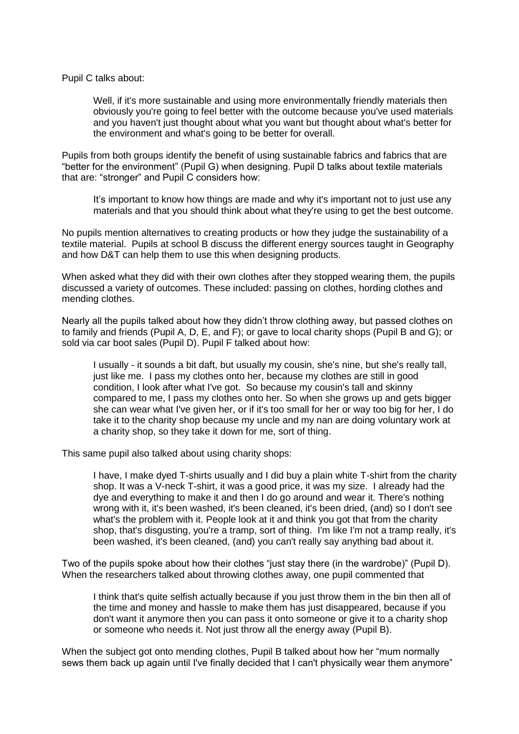Pupil C talks about:

Well, if it's more sustainable and using more environmentally friendly materials then obviously you're going to feel better with the outcome because you've used materials and you haven't just thought about what you want but thought about what's better for the environment and what's going to be better for overall.

Pupils from both groups identify the benefit of using sustainable fabrics and fabrics that are "better for the environment" (Pupil G) when designing. Pupil D talks about textile materials that are: "stronger" and Pupil C considers how:

It's important to know how things are made and why it's important not to just use any materials and that you should think about what they're using to get the best outcome.

No pupils mention alternatives to creating products or how they judge the sustainability of a textile material. Pupils at school B discuss the different energy sources taught in Geography and how D&T can help them to use this when designing products.

When asked what they did with their own clothes after they stopped wearing them, the pupils discussed a variety of outcomes. These included: passing on clothes, hording clothes and mending clothes.

Nearly all the pupils talked about how they didn't throw clothing away, but passed clothes on to family and friends (Pupil A, D, E, and F); or gave to local charity shops (Pupil B and G); or sold via car boot sales (Pupil D). Pupil F talked about how:

I usually - it sounds a bit daft, but usually my cousin, she's nine, but she's really tall, just like me. I pass my clothes onto her, because my clothes are still in good condition, I look after what I've got. So because my cousin's tall and skinny compared to me, I pass my clothes onto her. So when she grows up and gets bigger she can wear what I've given her, or if it's too small for her or way too big for her, I do take it to the charity shop because my uncle and my nan are doing voluntary work at a charity shop, so they take it down for me, sort of thing.

This same pupil also talked about using charity shops:

I have, I make dyed T-shirts usually and I did buy a plain white T-shirt from the charity shop. It was a V-neck T-shirt, it was a good price, it was my size. I already had the dye and everything to make it and then I do go around and wear it. There's nothing wrong with it, it's been washed, it's been cleaned, it's been dried, (and) so I don't see what's the problem with it. People look at it and think you got that from the charity shop, that's disgusting, you're a tramp, sort of thing. I'm like I'm not a tramp really, it's been washed, it's been cleaned, (and) you can't really say anything bad about it.

Two of the pupils spoke about how their clothes "just stay there (in the wardrobe)" (Pupil D). When the researchers talked about throwing clothes away, one pupil commented that

I think that's quite selfish actually because if you just throw them in the bin then all of the time and money and hassle to make them has just disappeared, because if you don't want it anymore then you can pass it onto someone or give it to a charity shop or someone who needs it. Not just throw all the energy away (Pupil B).

When the subject got onto mending clothes, Pupil B talked about how her "mum normally sews them back up again until I've finally decided that I can't physically wear them anymore"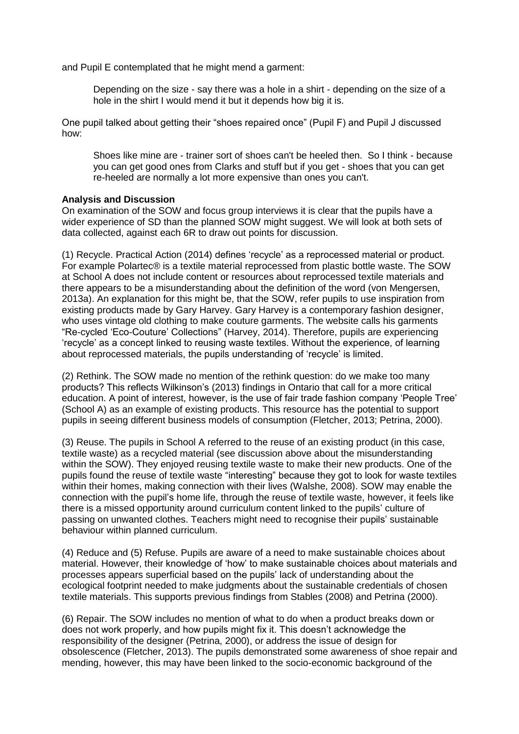and Pupil E contemplated that he might mend a garment:

Depending on the size - say there was a hole in a shirt - depending on the size of a hole in the shirt I would mend it but it depends how big it is.

One pupil talked about getting their "shoes repaired once" (Pupil F) and Pupil J discussed how:

Shoes like mine are - trainer sort of shoes can't be heeled then. So I think - because you can get good ones from Clarks and stuff but if you get - shoes that you can get re-heeled are normally a lot more expensive than ones you can't.

### **Analysis and Discussion**

On examination of the SOW and focus group interviews it is clear that the pupils have a wider experience of SD than the planned SOW might suggest. We will look at both sets of data collected, against each 6R to draw out points for discussion.

(1) Recycle. Practical Action (2014) defines 'recycle' as a reprocessed material or product. For example Polartec® is a textile material reprocessed from plastic bottle waste. The SOW at School A does not include content or resources about reprocessed textile materials and there appears to be a misunderstanding about the definition of the word (von Mengersen, 2013a). An explanation for this might be, that the SOW, refer pupils to use inspiration from existing products made by Gary Harvey. Gary Harvey is a contemporary fashion designer, who uses vintage old clothing to make couture garments. The website calls his garments "Re-cycled 'Eco-Couture' Collections" (Harvey, 2014). Therefore, pupils are experiencing 'recycle' as a concept linked to reusing waste textiles. Without the experience, of learning about reprocessed materials, the pupils understanding of 'recycle' is limited.

(2) Rethink. The SOW made no mention of the rethink question: do we make too many products? This reflects Wilkinson's (2013) findings in Ontario that call for a more critical education. A point of interest, however, is the use of fair trade fashion company 'People Tree' (School A) as an example of existing products. This resource has the potential to support pupils in seeing different business models of consumption (Fletcher, 2013; Petrina, 2000).

(3) Reuse. The pupils in School A referred to the reuse of an existing product (in this case, textile waste) as a recycled material (see discussion above about the misunderstanding within the SOW). They enjoyed reusing textile waste to make their new products. One of the pupils found the reuse of textile waste "interesting" because they got to look for waste textiles within their homes, making connection with their lives (Walshe, 2008). SOW may enable the connection with the pupil's home life, through the reuse of textile waste, however, it feels like there is a missed opportunity around curriculum content linked to the pupils' culture of passing on unwanted clothes. Teachers might need to recognise their pupils' sustainable behaviour within planned curriculum.

(4) Reduce and (5) Refuse. Pupils are aware of a need to make sustainable choices about material. However, their knowledge of 'how' to make sustainable choices about materials and processes appears superficial based on the pupils' lack of understanding about the ecological footprint needed to make judgments about the sustainable credentials of chosen textile materials. This supports previous findings from Stables (2008) and Petrina (2000).

(6) Repair. The SOW includes no mention of what to do when a product breaks down or does not work properly, and how pupils might fix it. This doesn't acknowledge the responsibility of the designer (Petrina, 2000), or address the issue of design for obsolescence (Fletcher, 2013). The pupils demonstrated some awareness of shoe repair and mending, however, this may have been linked to the socio-economic background of the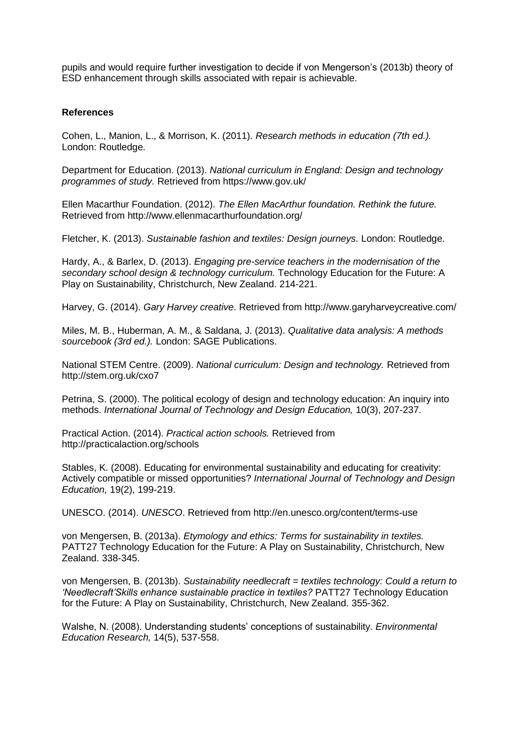pupils and would require further investigation to decide if von Mengerson's (2013b) theory of ESD enhancement through skills associated with repair is achievable.

### **References**

Cohen, L., Manion, L., & Morrison, K. (2011). *Research methods in education (7th ed.).* London: Routledge.

Department for Education. (2013). *National curriculum in England: Design and technology programmes of study.* Retrieved from https://www.gov.uk/

Ellen Macarthur Foundation. (2012). *The Ellen MacArthur foundation. Rethink the future.* Retrieved from http://www.ellenmacarthurfoundation.org/

Fletcher, K. (2013). *Sustainable fashion and textiles: Design journeys.* London: Routledge.

Hardy, A., & Barlex, D. (2013). *Engaging pre-service teachers in the modernisation of the secondary school design & technology curriculum.* Technology Education for the Future: A Play on Sustainability, Christchurch, New Zealand. 214-221.

Harvey, G. (2014). *Gary Harvey creative*. Retrieved from http://www.garyharveycreative.com/

Miles, M. B., Huberman, A. M., & Saldana, J. (2013). *Qualitative data analysis: A methods sourcebook (3rd ed.).* London: SAGE Publications.

National STEM Centre. (2009). *National curriculum: Design and technology.* Retrieved from http://stem.org.uk/cxo7

Petrina, S. (2000). The political ecology of design and technology education: An inquiry into methods. *International Journal of Technology and Design Education,* 10(3), 207-237.

Practical Action. (2014). *Practical action schools.* Retrieved from http://practicalaction.org/schools

Stables, K. (2008). Educating for environmental sustainability and educating for creativity: Actively compatible or missed opportunities? *International Journal of Technology and Design Education,* 19(2), 199-219.

UNESCO. (2014). *UNESCO*. Retrieved from http://en.unesco.org/content/terms-use

von Mengersen, B. (2013a). *Etymology and ethics: Terms for sustainability in textiles.* PATT27 Technology Education for the Future: A Play on Sustainability, Christchurch, New Zealand. 338-345.

von Mengersen, B. (2013b). *Sustainability needlecraft = textiles technology: Could a return to 'Needlecraft'Skills enhance sustainable practice in textiles?* PATT27 Technology Education for the Future: A Play on Sustainability, Christchurch, New Zealand. 355-362.

Walshe, N. (2008). Understanding students' conceptions of sustainability. *Environmental Education Research,* 14(5), 537-558.